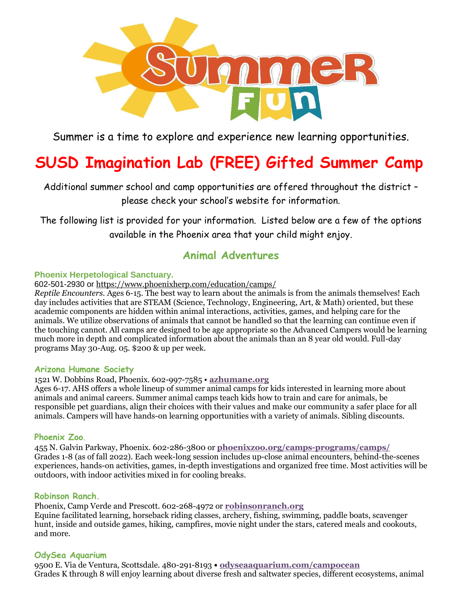

Summer is a time to explore and experience new learning opportunities.

# **SUSD Imagination Lab (FREE) Gifted Summer Camp**

Additional summer school and camp opportunities are offered throughout the district – please check your school's website for information.

The following list is provided for your information. Listed below are a few of the options available in the Phoenix area that your child might enjoy.

# **Animal Adventures**

## **Phoenix Herpetological Sanctuary.**

602-501-2930 or <https://www.phoenixherp.com/education/camps/>

*Reptile Encounters.* Ages 6-15. The best way to learn about the animals is from the animals themselves! Each day includes activities that are STEAM (Science, Technology, Engineering, Art, & Math) oriented, but these academic components are hidden within animal interactions, activities, games, and helping care for the animals. We utilize observations of animals that cannot be handled so that the learning can continue even if the touching cannot. All camps are designed to be age appropriate so the Advanced Campers would be learning much more in depth and complicated information about the animals than an 8 year old would. Full-day programs May 30-Aug. 05. \$200 & up per week.

### **Arizona Humane Society**

# 1521 W. Dobbins Road, Phoenix. 602-997-7585 • **[azhumane.org](http://azhumane.org/)**

Ages 6-17. AHS offers a whole lineup of summer animal camps for kids interested in learning more about animals and animal careers. Summer animal camps teach kids how to train and care for animals, be responsible pet guardians, align their choices with their values and make our community a safer place for all animals. Campers will have hands-on learning opportunities with a variety of animals. Sibling discounts.

# **Phoenix Zoo**.

455 N. Galvin Parkway, Phoenix. 602-286-3800 or **[phoenixzoo.org/camps-programs/camps/](https://www.phoenixzoo.org/camps-programs/camps/)** Grades 1-8 (as of fall 2022). Each week-long session includes up-close animal encounters, behind-the-scenes experiences, hands-on activities, games, in-depth investigations and organized free time. Most activities will be outdoors, with indoor activities mixed in for cooling breaks.

### **Robinson Ranch.**

Phoenix, Camp Verde and Prescott. 602-268-4972 or **[robinsonranch.org](http://robinsonranch.org/)** Equine facilitated learning, horseback riding classes, archery, fishing, swimming, paddle boats, scavenger hunt, inside and outside games, hiking, campfires, movie night under the stars, catered meals and cookouts, and more.

### **OdySea Aquarium**

9500 E. Via de Ventura, Scottsdale. 480-291-8193 **• [odyseaaquarium.com/campocean](https://www.odyseaaquarium.com/campocean)** Grades K through 8 will enjoy learning about diverse fresh and saltwater species, different ecosystems, animal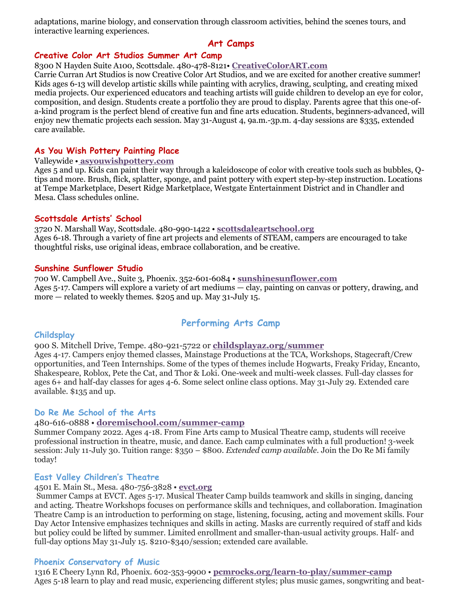adaptations, marine biology, and conservation through classroom activities, behind the scenes tours, and interactive learning experiences.

# **Art Camps**

### **Creative Color Art Studios Summer Art Camp**

8300 N Hayden Suite A100, Scottsdale. 480-478-8121• **[CreativeColorART.com](http://www.creativecolorart.com/)**

Carrie Curran Art Studios is now Creative Color Art Studios, and we are excited for another creative summer! Kids ages 6-13 will develop artistic skills while painting with acrylics, drawing, sculpting, and creating mixed media projects. Our experienced educators and teaching artists will guide children to develop an eye for color, composition, and design. Students create a portfolio they are proud to display. Parents agree that this one-ofa-kind program is the perfect blend of creative fun and fine arts education. Students, beginners-advanced, will enjoy new thematic projects each session. May 31-August 4, 9a.m.-3p.m. 4-day sessions are \$335, extended care available.

### **As You Wish Pottery Painting Place**

# Valleywide • **[asyouwishpottery.com](http://asyouwishpottery.com/)**

Ages 5 and up. Kids can paint their way through a kaleidoscope of color with creative tools such as bubbles, Qtips and more. Brush, flick, splatter, sponge, and paint pottery with expert step-by-step instruction. Locations at Tempe Marketplace, Desert Ridge Marketplace, Westgate Entertainment District and in Chandler and Mesa. Class schedules online.

### **Scottsdale Artists' School**

3720 N. Marshall Way, Scottsdale. 480-990-1422 • **[scottsdaleartschool.org](https://scottsdaleartschool.org/)** Ages 6-18. Through a variety of fine art projects and elements of STEAM, campers are encouraged to take thoughtful risks, use original ideas, embrace collaboration, and be creative.

### **Sunshine Sunflower Studio**

700 W. Campbell Ave., Suite 3, Phoenix. 352-601-6084 • **[sunshinesunflower.com](http://www.sunshinesunflower.com/)** Ages 5-17. Campers will explore a variety of art mediums — clay, painting on canvas or pottery, drawing, and more — related to weekly themes. \$205 and up. May 31-July 15.

# **Performing Arts Camp**

### **Childsplay**

900 S. Mitchell Drive, Tempe. 480-921-5722 or **[childsplayaz.org/summer](http://childsplayaz.org/summer)** Ages 4-17. Campers enjoy themed classes, Mainstage Productions at the TCA, Workshops, Stagecraft/Crew opportunities, and Teen Internships. Some of the types of themes include Hogwarts, Freaky Friday, Encanto, Shakespeare, Roblox, Pete the Cat, and Thor & Loki. One-week and multi-week classes. Full-day classes for ages 6+ and half-day classes for ages 4-6. Some select online class options. May 31-July 29. Extended care available. \$135 and up.

### **Do Re Me School of the Arts**

### 480-616-0888 • **[doremischool.com/summer-camp](http://doremischool.com/summer-camp)**

Summer Company 2022. Ages 4-18. From Fine Arts camp to Musical Theatre camp, students will receive professional instruction in theatre, music, and dance. Each camp culminates with a full production! 3-week session: July 11-July 30. Tuition range: \$350 – \$800. *Extended camp available.* Join the Do Re Mi family today!

### **East Valley Children's Theatre**

### 4501 E. Main St., Mesa. 480-756-3828 • **[evct.org](https://www.evct.org/)**

Summer Camps at EVCT. Ages 5-17. Musical Theater Camp builds teamwork and skills in singing, dancing and acting. Theatre Workshops focuses on performance skills and techniques, and collaboration. Imagination Theatre Camp is an introduction to performing on stage, listening, focusing, acting and movement skills. Four Day Actor Intensive emphasizes techniques and skills in acting. Masks are currently required of staff and kids but policy could be lifted by summer. Limited enrollment and smaller-than-usual activity groups. Half- and full-day options May 31-July 15. \$210-\$340/session; extended care available.

### **Phoenix Conservatory of Music**

1316 E Cheery Lynn Rd, Phoenix. 602-353-9900 • **[pcmrocks.org/learn-to-play/summer-camp](http://pcmrocks.org/learn-to-play/summer-camp)** Ages 5-18 learn to play and read music, experiencing different styles; plus music games, songwriting and beat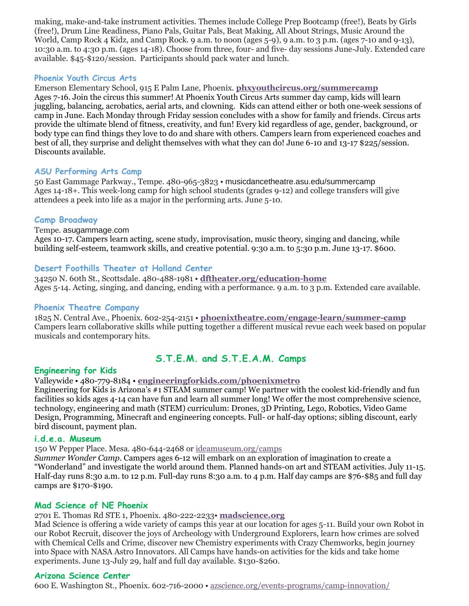making, make-and-take instrument activities. Themes include College Prep Bootcamp (free!), Beats by Girls (free!), Drum Line Readiness, Piano Pals, Guitar Pals, Beat Making, All About Strings, Music Around the World, Camp Rock 4 Kidz, and Camp Rock. 9 a.m. to noon (ages 5-9), 9 a.m. to 3 p.m. (ages 7-10 and 9-13), 10:30 a.m. to 4:30 p.m. (ages 14-18). Choose from three, four- and five- day sessions June-July. Extended care available. \$45-\$120/session. Participants should pack water and lunch.

## **Phoenix Youth Circus Arts**

Emerson Elementary School, 915 E Palm Lane, Phoenix. **[phxyouthcircus.org/summercamp](https://phxyouthcircus.org/summer-day-camps/phoenix/)** Ages 7-16. Join the circus this summer! At Phoenix Youth Circus Arts summer day camp, kids will learn juggling, balancing, acrobatics, aerial arts, and clowning. Kids can attend either or both one-week sessions of camp in June. Each Monday through Friday session concludes with a show for family and friends. Circus arts provide the ultimate blend of fitness, creativity, and fun! Every kid regardless of age, gender, background, or body type can find things they love to do and share with others. Campers learn from experienced coaches and best of all, they surprise and delight themselves with what they can do! June 6-10 and 13-17 \$225/session. Discounts available.

### **ASU Performing Arts Camp**

50 East Gammage Parkway., Tempe. 480-965-3823 • [musicdancetheatre.asu.edu/summercamp](https://musicdancetheatre.asu.edu/music-dance-theatre-summer-institute/asu-performing-arts-camp) Ages 14-18+. This week-long camp for high school students (grades 9-12) and college transfers will give attendees a peek into life as a major in the performing arts. June 5-10.

# **Camp Broadway**

Tempe. [asugammage.com](https://www.asugammage.com/community/community-programs/camp-broadway)

Ages 10-17. Campers learn acting, scene study, improvisation, music theory, singing and dancing, while building self-esteem, teamwork skills, and creative potential. 9:30 a.m. to 5:30 p.m. June 13-17. \$600.

## **Desert Foothills Theater at Holland Center**

34250 N. 60th St., Scottsdale. 480-488-1981 • **[dftheater.org/education-home](http://dftheater.org/education-home)** Ages 5-14. Acting, singing, and dancing, ending with a performance. 9 a.m. to 3 p.m. Extended care available.

### **Phoenix Theatre Company**

1825 N. Central Ave., Phoenix. 602-254-2151 • **[phoenixtheatre.com/engage-learn/summer-camp](https://phoenixtheatre.com/engage-learn/summer-camp)** Campers learn collaborative skills while putting together a different musical revue each week based on popular musicals and contemporary hits.

# **S.T.E.M. and S.T.E.A.M. Camps**

### **Engineering for Kids**

Valleywide • 480-779-8184 • **[engineeringforkids.com/phoenixmetro](https://www.engineeringforkids.com/phoenixmetro)**

Engineering for Kids is Arizona's #1 STEAM summer camp! We partner with the coolest kid-friendly and fun facilities so kids ages 4-14 can have fun and learn all summer long! We offer the most comprehensive science, technology, engineering and math (STEM) curriculum: Drones, 3D Printing, Lego, Robotics, Video Game Design, Programming, Minecraft and engineering concepts. Full- or half-day options; sibling discount, early bird discount, payment plan.

### **i.d.e.a. Museum**

150 W Pepper Place. Mesa. 480-644-2468 or [ideamuseum.org/camps](https://www.ideamuseum.org/camps/)

*Summer Wonder Camp*. Campers ages 6-12 will embark on an exploration of imagination to create a "Wonderland" and investigate the world around them. Planned hands-on art and STEAM activities. July 11-15. Half-day runs 8:30 a.m. to 12 p.m. Full-day runs 8:30 a.m. to 4 p.m. Half day camps are \$76-\$85 and full day camps are \$170-\$190.

### **Mad Science of NE Phoenix**

2701 E. Thomas Rd STE 1, Phoenix. 480-222-2233• **[madscience.org](https://nephoenix.madscience.org/parents-camps)**

Mad Science is offering a wide variety of camps this year at our location for ages 5-11. Build your own Robot in our Robot Recruit, discover the joys of Archeology with Underground Explorers, learn how crimes are solved with Chemical Cells and Crime, discover new Chemistry experiments with Crazy Chemworks, begin journey into Space with NASA Astro Innovators. All Camps have hands-on activities for the kids and take home experiments. June 13-July 29, half and full day available. \$130-\$260.

### **Arizona Science Center**

600 E. Washington St., Phoenix. 602-716-2000 • [azscience.org/events-programs/camp-innovation/](https://www.azscience.org/events-programs/camp-innovation/?gclid=CP-ejtnNu9QCFYFqfgodXuMB_Q)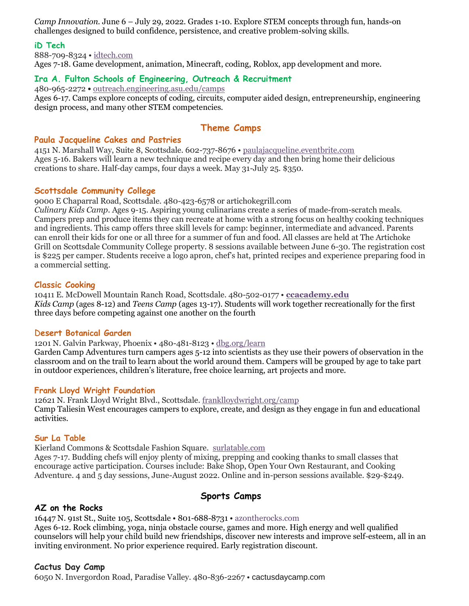*Camp Innovation.* June 6 – July 29, 2022. Grades 1-10. Explore STEM concepts through fun, hands-on challenges designed to build confidence, persistence, and creative problem-solving skills.

### **iD Tech**

888-709-8324 • [idtech.com](http://idtech.com/) Ages 7-18. Game development, animation, Minecraft, coding, Roblox, app development and more.

### **Ira A. Fulton Schools of Engineering, Outreach & Recruitment**

480-965-2272 **•** [outreach.engineering.asu.edu/camps](https://outreach.engineering.asu.edu/camps/)

Ages 6-17. Camps explore concepts of coding, circuits, computer aided design, entrepreneurship, engineering design process, and many other STEM competencies.

# **Theme Camps**

### **Paula Jacqueline Cakes and Pastries**

4151 N. Marshall Way, Suite 8, Scottsdale. 602-737-8676 • [paulajacqueline.eventbrite.com](http://www.paulajacqueline.eventbrite.com/) Ages 5-16. Bakers will learn a new technique and recipe every day and then bring home their delicious creations to share. Half-day camps, four days a week. May 31-July 25. \$350.

### **Scottsdale Community College**

9000 E Chaparral Road, Scottsdale. 480-423-6578 or artichokegrill.com

*Culinary Kids Camp*. Ages 9-15. Aspiring young culinarians create a series of made-from-scratch meals. Campers prep and produce items they can recreate at home with a strong focus on healthy cooking techniques and ingredients. This camp offers three skill levels for camp: beginner, intermediate and advanced. Parents can enroll their kids for one or all three for a summer of fun and food. All classes are held at The Artichoke Grill on Scottsdale Community College property. 8 sessions available between June 6-30. The registration cost is \$225 per camper. Students receive a logo apron, chef's hat, printed recipes and experience preparing food in a commercial setting.

### **Classic Cooking**

10411 E. McDowell Mountain Ranch Road, Scottsdale. 480-502-0177 • **[ccacademy.edu](http://ccacademy.edu/kids-teens-classes/)** *Kids Camp* (ages 8-12) and *Teens Camp* (ages 13-17). Students will work together recreationally for the first three days before competing against one another on the fourth

### D**esert Botanical Garden**

1201 N. Galvin Parkway, Phoenix • 480-481-8123 • [dbg.org/learn](http://www.dbg.org/learn)

Garden Camp Adventures turn campers ages 5-12 into scientists as they use their powers of observation in the classroom and on the trail to learn about the world around them. Campers will be grouped by age to take part in outdoor experiences, children's literature, free choice learning, art projects and more.

### **Frank Lloyd Wright Foundation**

12621 N. Frank Lloyd Wright Blvd., Scottsdale. [franklloydwright.org/camp](https://franklloydwright.org/camp/) Camp Taliesin West encourages campers to explore, create, and design as they engage in fun and educational activities.

### **Sur La Table**

Kierland Commons & Scottsdale Fashion Square. [surlatable.com](https://www.surlatable.com/cooking-classes/kids-teens-cooking-series/)

Ages 7-17. Budding chefs will enjoy plenty of mixing, prepping and cooking thanks to small classes that encourage active participation. Courses include: Bake Shop, Open Your Own Restaurant, and Cooking Adventure. 4 and 5 day sessions, June-August 2022. Online and in-person sessions available. \$29-\$249.

# **Sports Camps**

### **AZ on the Rocks**

16447 N. 91st St., Suite 105, Scottsdale • 801-688-8731 • [azontherocks.com](http://azontherocks.com/) Ages 6-12. Rock climbing, yoga, ninja obstacle course, games and more. High energy and well qualified counselors will help your child build new friendships, discover new interests and improve self-esteem, all in an inviting environment. No prior experience required. Early registration discount.

### **Cactus Day Camp**

6050 N. Invergordon Road, Paradise Valley. 480-836-2267 • [cactusdaycamp.com](http://cactusdaycamp.com/)